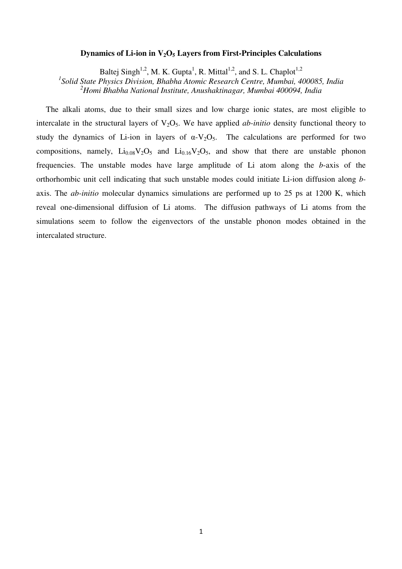#### **Dynamics of Li-ion in V2O5 Layers from First-Principles Calculations**

Baltej Singh<sup>1,2</sup>, M. K. Gupta<sup>1</sup>, R. Mittal<sup>1,2</sup>, and S. L. Chaplot<sup>1,2</sup>

*1 Solid State Physics Division, Bhabha Atomic Research Centre, Mumbai, 400085, India <sup>2</sup>Homi Bhabha National Institute, Anushaktinagar, Mumbai 400094, India* 

The alkali atoms, due to their small sizes and low charge ionic states, are most eligible to intercalate in the structural layers of  $V_2O_5$ . We have applied *ab-initio* density functional theory to study the dynamics of Li-ion in layers of  $\alpha$ -V<sub>2</sub>O<sub>5</sub>. The calculations are performed for two compositions, namely,  $Li_{0.08}V_2O_5$  and  $Li_{0.16}V_2O_5$ , and show that there are unstable phonon frequencies. The unstable modes have large amplitude of Li atom along the *b*-axis of the orthorhombic unit cell indicating that such unstable modes could initiate Li-ion diffusion along *b*axis. The *ab-initio* molecular dynamics simulations are performed up to 25 ps at 1200 K, which reveal one-dimensional diffusion of Li atoms. The diffusion pathways of Li atoms from the simulations seem to follow the eigenvectors of the unstable phonon modes obtained in the intercalated structure.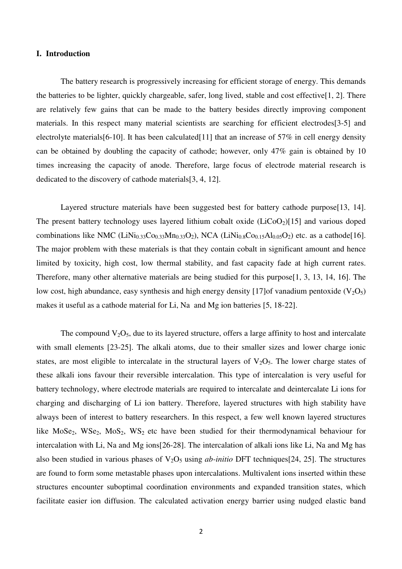# **I. Introduction**

The battery research is progressively increasing for efficient storage of energy. This demands the batteries to be lighter, quickly chargeable, safer, long lived, stable and cost effective[1, 2]. There are relatively few gains that can be made to the battery besides directly improving component materials. In this respect many material scientists are searching for efficient electrodes[3-5] and electrolyte materials [6-10]. It has been calculated [11] that an increase of  $57\%$  in cell energy density can be obtained by doubling the capacity of cathode; however, only 47% gain is obtained by 10 times increasing the capacity of anode. Therefore, large focus of electrode material research is dedicated to the discovery of cathode materials[3, 4, 12].

Layered structure materials have been suggested best for battery cathode purpose<sup>[13, 14]</sup>. The present battery technology uses layered lithium cobalt oxide  $(LiCoO<sub>2</sub>)[15]$  and various doped combinations like NMC (LiNi<sub>0.33</sub>Co<sub>0.33</sub>Mn<sub>0.33</sub>O<sub>2</sub>), NCA (LiNi<sub>0.8</sub>Co<sub>0.15</sub>Al<sub>0.05</sub>O<sub>2</sub>) etc. as a cathode[16]. The major problem with these materials is that they contain cobalt in significant amount and hence limited by toxicity, high cost, low thermal stability, and fast capacity fade at high current rates. Therefore, many other alternative materials are being studied for this purpose[1, 3, 13, 14, 16]. The low cost, high abundance, easy synthesis and high energy density [17]of vanadium pentoxide  $(V_2O_5)$ makes it useful as a cathode material for Li, Na and Mg ion batteries [5, 18-22].

The compound  $V_2O_5$ , due to its layered structure, offers a large affinity to host and intercalate with small elements [23-25]. The alkali atoms, due to their smaller sizes and lower charge ionic states, are most eligible to intercalate in the structural layers of  $V_2O_5$ . The lower charge states of these alkali ions favour their reversible intercalation. This type of intercalation is very useful for battery technology, where electrode materials are required to intercalate and deintercalate Li ions for charging and discharging of Li ion battery. Therefore, layered structures with high stability have always been of interest to battery researchers. In this respect, a few well known layered structures like MoSe<sub>2</sub>, WSe<sub>2</sub>, MoS<sub>2</sub>, WS<sub>2</sub> etc have been studied for their thermodynamical behaviour for intercalation with Li, Na and Mg ions[26-28]. The intercalation of alkali ions like Li, Na and Mg has also been studied in various phases of  $V_2O_5$  using *ab-initio* DFT techniques [24, 25]. The structures are found to form some metastable phases upon intercalations. Multivalent ions inserted within these structures encounter suboptimal coordination environments and expanded transition states, which facilitate easier ion diffusion. The calculated activation energy barrier using nudged elastic band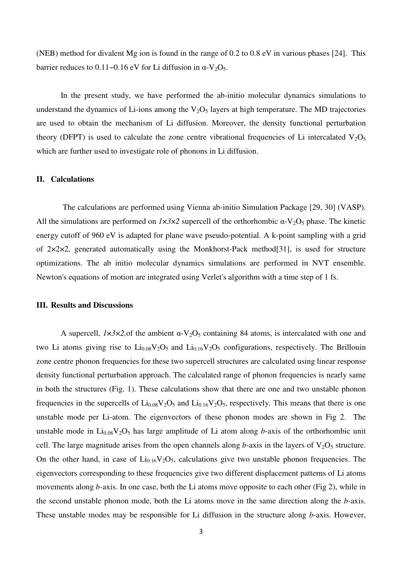(NEB) method for divalent Mg ion is found in the range of 0.2 to 0.8 eV in various phases [24]. This barrier reduces to 0.11–0.16 eV for Li diffusion in  $\alpha$ -V<sub>2</sub>O<sub>5</sub>.

In the present study, we have performed the ab-initio molecular dynamics simulations to understand the dynamics of Li-ions among the  $V<sub>2</sub>O<sub>5</sub>$  layers at high temperature. The MD trajectories are used to obtain the mechanism of Li diffusion. Moreover, the density functional perturbation theory (DFPT) is used to calculate the zone centre vibrational frequencies of Li intercalated  $V_2O_5$ which are further used to investigate role of phonons in Li diffusion.

# **II. Calculations**

 The calculations are performed using Vienna ab-initio Simulation Package [29, 30] (VASP). All the simulations are performed on  $1\times3\times2$  supercell of the orthorhombic  $\alpha$ -V<sub>2</sub>O<sub>5</sub> phase. The kinetic energy cutoff of 960 eV is adapted for plane wave pseudo-potential. A k-point sampling with a grid of 2×2×2, generated automatically using the Monkhorst-Pack method[31], is used for structure optimizations. The ab initio molecular dynamics simulations are performed in NVT ensemble. Newton's equations of motion are integrated using Verlet's algorithm with a time step of 1 fs.

#### **III. Results and Discussions**

A supercell,  $1 \times 3 \times 2$ , of the ambient  $\alpha$ -V<sub>2</sub>O<sub>5</sub> containing 84 atoms, is intercalated with one and two Li atoms giving rise to  $Li_{0.08}V_2O_5$  and  $Li_{0.16}V_2O_5$  configurations, respectively. The Brillouin zone centre phonon frequencies for these two supercell structures are calculated using linear response density functional perturbation approach. The calculated range of phonon frequencies is nearly same in both the structures (Fig. 1). These calculations show that there are one and two unstable phonon frequencies in the supercells of  $Li_{0.08}V_2O_5$  and  $Li_{0.16}V_2O_5$ , respectively. This means that there is one unstable mode per Li-atom. The eigenvectors of these phonon modes are shown in Fig 2. The unstable mode in  $Li_{0.08}V_2O_5$  has large amplitude of Li atom along *b*-axis of the orthorhombic unit cell. The large magnitude arises from the open channels along  $b$ -axis in the layers of  $V_2O_5$  structure. On the other hand, in case of  $Li_{0.16}V_2O_5$ , calculations give two unstable phonon frequencies. The eigenvectors corresponding to these frequencies give two different displacement patterns of Li atoms movements along *b-*axis. In one case, both the Li atoms move opposite to each other (Fig 2), while in the second unstable phonon mode, both the Li atoms move in the same direction along the *b-*axis. These unstable modes may be responsible for Li diffusion in the structure along *b*-axis. However,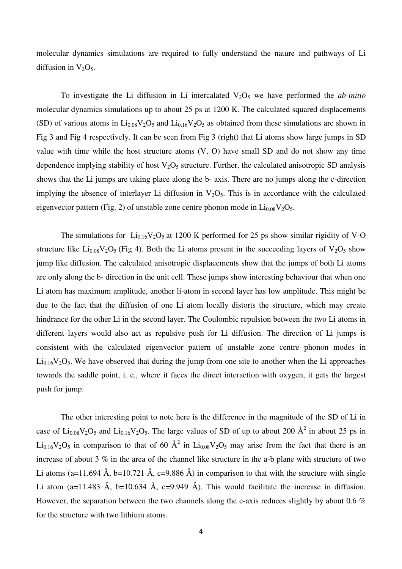molecular dynamics simulations are required to fully understand the nature and pathways of Li diffusion in  $V_2O_5$ .

To investigate the Li diffusion in Li intercalated  $V_2O_5$  we have performed the *ab-initio* molecular dynamics simulations up to about 25 ps at 1200 K. The calculated squared displacements (SD) of various atoms in  $Li_{0.08}V_2O_5$  and  $Li_{0.16}V_2O_5$  as obtained from these simulations are shown in Fig 3 and Fig 4 respectively. It can be seen from Fig 3 (right) that Li atoms show large jumps in SD value with time while the host structure atoms (V, O) have small SD and do not show any time dependence implying stability of host  $V_2O_5$  structure. Further, the calculated anisotropic SD analysis shows that the Li jumps are taking place along the b- axis. There are no jumps along the c-direction implying the absence of interlayer Li diffusion in  $V<sub>2</sub>O<sub>5</sub>$ . This is in accordance with the calculated eigenvector pattern (Fig. 2) of unstable zone centre phonon mode in  $Li_{0.08}V_2O_5$ .

The simulations for  $Li_{0.16}V_2O_5$  at 1200 K performed for 25 ps show similar rigidity of V-O structure like  $Li_{0.08}V_2O_5$  (Fig 4). Both the Li atoms present in the succeeding layers of  $V_2O_5$  show jump like diffusion. The calculated anisotropic displacements show that the jumps of both Li atoms are only along the b- direction in the unit cell. These jumps show interesting behaviour that when one Li atom has maximum amplitude, another li-atom in second layer has low amplitude. This might be due to the fact that the diffusion of one Li atom locally distorts the structure, which may create hindrance for the other Li in the second layer. The Coulombic repulsion between the two Li atoms in different layers would also act as repulsive push for Li diffusion. The direction of Li jumps is consistent with the calculated eigenvector pattern of unstable zone centre phonon modes in  $Li<sub>0.16</sub>V<sub>2</sub>O<sub>5</sub>$ . We have observed that during the jump from one site to another when the Li approaches towards the saddle point, i. e., where it faces the direct interaction with oxygen, it gets the largest push for jump.

The other interesting point to note here is the difference in the magnitude of the SD of Li in case of  $Li_{0.08}V_2O_5$  and  $Li_{0.16}V_2O_5$ . The large values of SD of up to about 200  $\AA^2$  in about 25 ps in  $Li_{0.16}V_2O_5$  in comparison to that of 60  $\AA^2$  in  $Li_{0.08}V_2O_5$  may arise from the fact that there is an increase of about 3 % in the area of the channel like structure in the a-b plane with structure of two Li atoms (a=11.694 Å, b=10.721 Å, c=9.886 Å) in comparison to that with the structure with single Li atom (a=11.483 Å, b=10.634 Å, c=9.949 Å). This would facilitate the increase in diffusion. However, the separation between the two channels along the c-axis reduces slightly by about 0.6 % for the structure with two lithium atoms.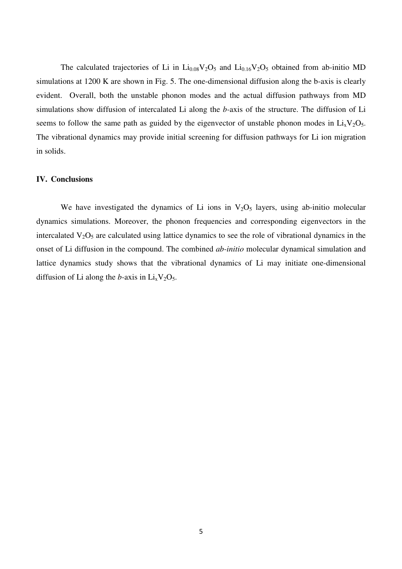The calculated trajectories of Li in  $Li_{0.08}V_2O_5$  and  $Li_{0.16}V_2O_5$  obtained from ab-initio MD simulations at 1200 K are shown in Fig. 5. The one-dimensional diffusion along the b-axis is clearly evident. Overall, both the unstable phonon modes and the actual diffusion pathways from MD simulations show diffusion of intercalated Li along the *b-*axis of the structure. The diffusion of Li seems to follow the same path as guided by the eigenvector of unstable phonon modes in  $Li_xV_2O_5$ . The vibrational dynamics may provide initial screening for diffusion pathways for Li ion migration in solids.

### **IV. Conclusions**

We have investigated the dynamics of Li ions in  $V<sub>2</sub>O<sub>5</sub>$  layers, using ab-initio molecular dynamics simulations. Moreover, the phonon frequencies and corresponding eigenvectors in the intercalated  $V_2O_5$  are calculated using lattice dynamics to see the role of vibrational dynamics in the onset of Li diffusion in the compound. The combined *ab-initio* molecular dynamical simulation and lattice dynamics study shows that the vibrational dynamics of Li may initiate one-dimensional diffusion of Li along the *b*-axis in  $Li_xV_2O_5$ .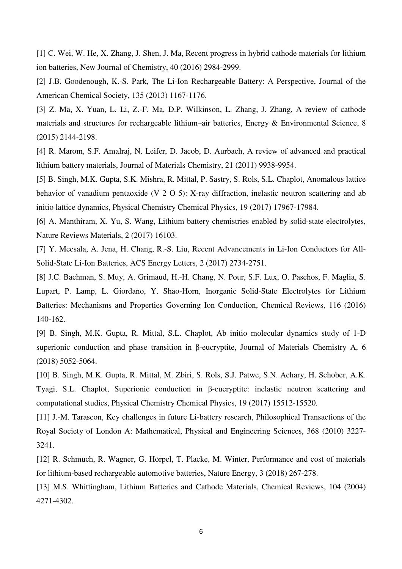[1] C. Wei, W. He, X. Zhang, J. Shen, J. Ma, Recent progress in hybrid cathode materials for lithium ion batteries, New Journal of Chemistry, 40 (2016) 2984-2999.

[2] J.B. Goodenough, K.-S. Park, The Li-Ion Rechargeable Battery: A Perspective, Journal of the American Chemical Society, 135 (2013) 1167-1176.

[3] Z. Ma, X. Yuan, L. Li, Z.-F. Ma, D.P. Wilkinson, L. Zhang, J. Zhang, A review of cathode materials and structures for rechargeable lithium–air batteries, Energy & Environmental Science, 8 (2015) 2144-2198.

[4] R. Marom, S.F. Amalraj, N. Leifer, D. Jacob, D. Aurbach, A review of advanced and practical lithium battery materials, Journal of Materials Chemistry, 21 (2011) 9938-9954.

[5] B. Singh, M.K. Gupta, S.K. Mishra, R. Mittal, P. Sastry, S. Rols, S.L. Chaplot, Anomalous lattice behavior of vanadium pentaoxide (V 2 O 5): X-ray diffraction, inelastic neutron scattering and ab initio lattice dynamics, Physical Chemistry Chemical Physics, 19 (2017) 17967-17984.

[6] A. Manthiram, X. Yu, S. Wang, Lithium battery chemistries enabled by solid-state electrolytes, Nature Reviews Materials, 2 (2017) 16103.

[7] Y. Meesala, A. Jena, H. Chang, R.-S. Liu, Recent Advancements in Li-Ion Conductors for All-Solid-State Li-Ion Batteries, ACS Energy Letters, 2 (2017) 2734-2751.

[8] J.C. Bachman, S. Muy, A. Grimaud, H.-H. Chang, N. Pour, S.F. Lux, O. Paschos, F. Maglia, S. Lupart, P. Lamp, L. Giordano, Y. Shao-Horn, Inorganic Solid-State Electrolytes for Lithium Batteries: Mechanisms and Properties Governing Ion Conduction, Chemical Reviews, 116 (2016) 140-162.

[9] B. Singh, M.K. Gupta, R. Mittal, S.L. Chaplot, Ab initio molecular dynamics study of 1-D superionic conduction and phase transition in β-eucryptite, Journal of Materials Chemistry A, 6 (2018) 5052-5064.

[10] B. Singh, M.K. Gupta, R. Mittal, M. Zbiri, S. Rols, S.J. Patwe, S.N. Achary, H. Schober, A.K. Tyagi, S.L. Chaplot, Superionic conduction in β-eucryptite: inelastic neutron scattering and computational studies, Physical Chemistry Chemical Physics, 19 (2017) 15512-15520.

[11] J.-M. Tarascon, Key challenges in future Li-battery research, Philosophical Transactions of the Royal Society of London A: Mathematical, Physical and Engineering Sciences, 368 (2010) 3227- 3241.

[12] R. Schmuch, R. Wagner, G. Hörpel, T. Placke, M. Winter, Performance and cost of materials for lithium-based rechargeable automotive batteries, Nature Energy, 3 (2018) 267-278.

[13] M.S. Whittingham, Lithium Batteries and Cathode Materials, Chemical Reviews, 104 (2004) 4271-4302.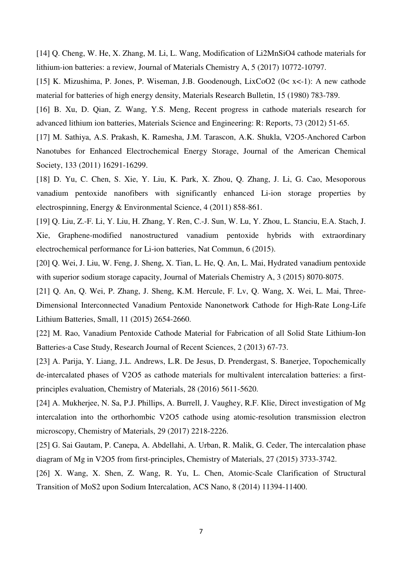[14] Q. Cheng, W. He, X. Zhang, M. Li, L. Wang, Modification of Li2MnSiO4 cathode materials for lithium-ion batteries: a review, Journal of Materials Chemistry A, 5 (2017) 10772-10797.

[15] K. Mizushima, P. Jones, P. Wiseman, J.B. Goodenough, LixCoO2 (0< x<-1): A new cathode material for batteries of high energy density, Materials Research Bulletin, 15 (1980) 783-789.

[16] B. Xu, D. Qian, Z. Wang, Y.S. Meng, Recent progress in cathode materials research for advanced lithium ion batteries, Materials Science and Engineering: R: Reports, 73 (2012) 51-65.

[17] M. Sathiya, A.S. Prakash, K. Ramesha, J.M. Tarascon, A.K. Shukla, V2O5-Anchored Carbon Nanotubes for Enhanced Electrochemical Energy Storage, Journal of the American Chemical Society, 133 (2011) 16291-16299.

[18] D. Yu, C. Chen, S. Xie, Y. Liu, K. Park, X. Zhou, Q. Zhang, J. Li, G. Cao, Mesoporous vanadium pentoxide nanofibers with significantly enhanced Li-ion storage properties by electrospinning, Energy & Environmental Science, 4 (2011) 858-861.

[19] Q. Liu, Z.-F. Li, Y. Liu, H. Zhang, Y. Ren, C.-J. Sun, W. Lu, Y. Zhou, L. Stanciu, E.A. Stach, J. Xie, Graphene-modified nanostructured vanadium pentoxide hybrids with extraordinary electrochemical performance for Li-ion batteries, Nat Commun, 6 (2015).

[20] Q. Wei, J. Liu, W. Feng, J. Sheng, X. Tian, L. He, Q. An, L. Mai, Hydrated vanadium pentoxide with superior sodium storage capacity, Journal of Materials Chemistry A, 3 (2015) 8070-8075.

[21] Q. An, Q. Wei, P. Zhang, J. Sheng, K.M. Hercule, F. Lv, Q. Wang, X. Wei, L. Mai, Three-Dimensional Interconnected Vanadium Pentoxide Nanonetwork Cathode for High-Rate Long-Life Lithium Batteries, Small, 11 (2015) 2654-2660.

[22] M. Rao, Vanadium Pentoxide Cathode Material for Fabrication of all Solid State Lithium-Ion Batteries-a Case Study, Research Journal of Recent Sciences, 2 (2013) 67-73.

[23] A. Parija, Y. Liang, J.L. Andrews, L.R. De Jesus, D. Prendergast, S. Banerjee, Topochemically de-intercalated phases of V2O5 as cathode materials for multivalent intercalation batteries: a firstprinciples evaluation, Chemistry of Materials, 28 (2016) 5611-5620.

[24] A. Mukherjee, N. Sa, P.J. Phillips, A. Burrell, J. Vaughey, R.F. Klie, Direct investigation of Mg intercalation into the orthorhombic V2O5 cathode using atomic-resolution transmission electron microscopy, Chemistry of Materials, 29 (2017) 2218-2226.

[25] G. Sai Gautam, P. Canepa, A. Abdellahi, A. Urban, R. Malik, G. Ceder, The intercalation phase diagram of Mg in V2O5 from first-principles, Chemistry of Materials, 27 (2015) 3733-3742.

[26] X. Wang, X. Shen, Z. Wang, R. Yu, L. Chen, Atomic-Scale Clarification of Structural Transition of MoS2 upon Sodium Intercalation, ACS Nano, 8 (2014) 11394-11400.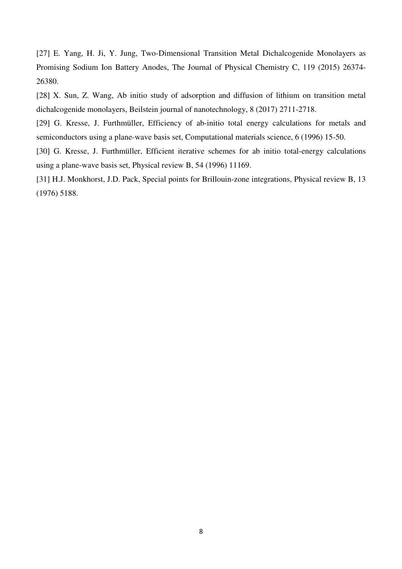[27] E. Yang, H. Ji, Y. Jung, Two-Dimensional Transition Metal Dichalcogenide Monolayers as Promising Sodium Ion Battery Anodes, The Journal of Physical Chemistry C, 119 (2015) 26374- 26380.

[28] X. Sun, Z. Wang, Ab initio study of adsorption and diffusion of lithium on transition metal dichalcogenide monolayers, Beilstein journal of nanotechnology, 8 (2017) 2711-2718.

[29] G. Kresse, J. Furthmüller, Efficiency of ab-initio total energy calculations for metals and semiconductors using a plane-wave basis set, Computational materials science, 6 (1996) 15-50.

[30] G. Kresse, J. Furthmüller, Efficient iterative schemes for ab initio total-energy calculations using a plane-wave basis set, Physical review B, 54 (1996) 11169.

[31] H.J. Monkhorst, J.D. Pack, Special points for Brillouin-zone integrations, Physical review B, 13 (1976) 5188.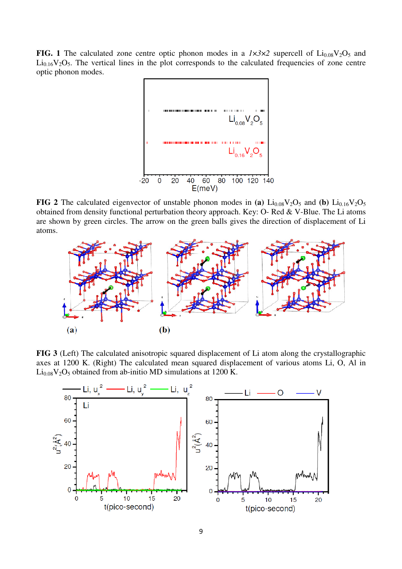**FIG. 1** The calculated zone centre optic phonon modes in a  $1 \times 3 \times 2$  supercell of  $Li_{0.08}V_2O_5$  and  $Li<sub>0.16</sub>V<sub>2</sub>O<sub>5</sub>$ . The vertical lines in the plot corresponds to the calculated frequencies of zone centre optic phonon modes.



**FIG 2** The calculated eigenvector of unstable phonon modes in (a)  $Li_{0.08}V_2O_5$  and (b)  $Li_{0.16}V_2O_5$ obtained from density functional perturbation theory approach. Key: O- Red & V-Blue. The Li atoms are shown by green circles. The arrow on the green balls gives the direction of displacement of Li atoms.



**FIG 3** (Left) The calculated anisotropic squared displacement of Li atom along the crystallographic axes at 1200 K. (Right) The calculated mean squared displacement of various atoms Li, O, Al in  $Li<sub>0.08</sub>V<sub>2</sub>O<sub>5</sub>$  obtained from ab-initio MD simulations at 1200 K.